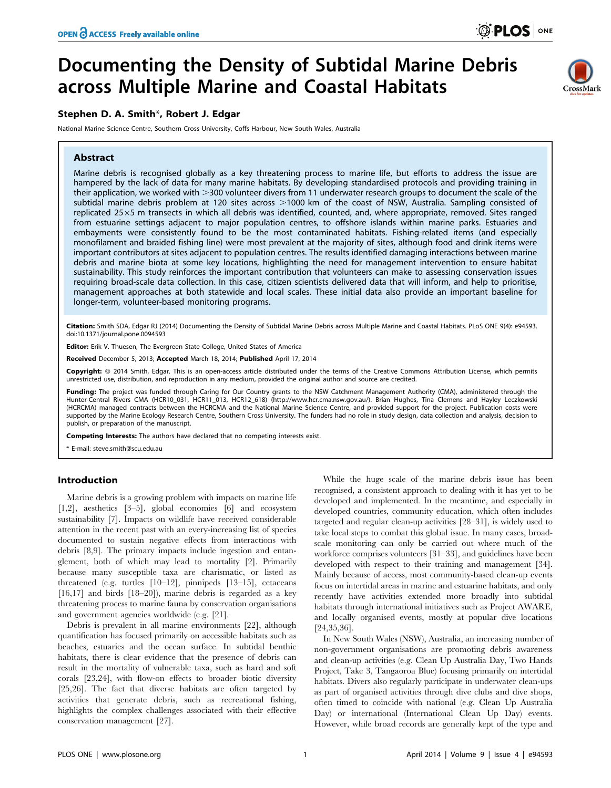# Documenting the Density of Subtidal Marine Debris across Multiple Marine and Coastal Habitats

# Stephen D. A. Smith\*, Robert J. Edgar

National Marine Science Centre, Southern Cross University, Coffs Harbour, New South Wales, Australia

## Abstract



Marine debris is recognised globally as a key threatening process to marine life, but efforts to address the issue are hampered by the lack of data for many marine habitats. By developing standardised protocols and providing training in their application, we worked with >300 volunteer divers from 11 underwater research groups to document the scale of the subtidal marine debris problem at 120 sites across >1000 km of the coast of NSW, Australia. Sampling consisted of replicated 25×5 m transects in which all debris was identified, counted, and, where appropriate, removed. Sites ranged from estuarine settings adjacent to major population centres, to offshore islands within marine parks. Estuaries and embayments were consistently found to be the most contaminated habitats. Fishing-related items (and especially monofilament and braided fishing line) were most prevalent at the majority of sites, although food and drink items were important contributors at sites adjacent to population centres. The results identified damaging interactions between marine debris and marine biota at some key locations, highlighting the need for management intervention to ensure habitat sustainability. This study reinforces the important contribution that volunteers can make to assessing conservation issues requiring broad-scale data collection. In this case, citizen scientists delivered data that will inform, and help to prioritise, management approaches at both statewide and local scales. These initial data also provide an important baseline for longer-term, volunteer-based monitoring programs.

Citation: Smith SDA, Edgar RJ (2014) Documenting the Density of Subtidal Marine Debris across Multiple Marine and Coastal Habitats. PLoS ONE 9(4): e94593. doi:10.1371/journal.pone.0094593

Editor: Erik V. Thuesen, The Evergreen State College, United States of America

Received December 5, 2013; Accepted March 18, 2014; Published April 17, 2014

Copyright: © 2014 Smith, Edgar. This is an open-access article distributed under the terms of the [Creative Commons Attribution License,](http://creativecommons.org/licenses/by/4.0/) which permits unrestricted use, distribution, and reproduction in any medium, provided the original author and source are credited.

**Funding:** The project was funded through Caring for Our Country grants to the NSW Catchment Management Authority (CMA), administered through the<br>Hunter-Central Rivers CMA (HCR10\_031, HCR11\_013, HCR12\_618) (http://www.hcr. (HCRCMA) managed contracts between the HCRCMA and the National Marine Science Centre, and provided support for the project. Publication costs were supported by the Marine Ecology Research Centre, Southern Cross University. The funders had no role in study design, data collection and analysis, decision to publish, or preparation of the manuscript.

Competing Interests: The authors have declared that no competing interests exist.

\* E-mail: steve.smith@scu.edu.au

## Introduction

Marine debris is a growing problem with impacts on marine life [1,2], aesthetics [3–5], global economies [6] and ecosystem sustainability [7]. Impacts on wildlife have received considerable attention in the recent past with an every-increasing list of species documented to sustain negative effects from interactions with debris [8,9]. The primary impacts include ingestion and entanglement, both of which may lead to mortality [2]. Primarily because many susceptible taxa are charismatic, or listed as threatened (e.g. turtles [10–12], pinnipeds [13–15], cetaceans [16,17] and birds [18–20]), marine debris is regarded as a key threatening process to marine fauna by conservation organisations and government agencies worldwide (e.g. [21].

Debris is prevalent in all marine environments [22], although quantification has focused primarily on accessible habitats such as beaches, estuaries and the ocean surface. In subtidal benthic habitats, there is clear evidence that the presence of debris can result in the mortality of vulnerable taxa, such as hard and soft corals [23,24], with flow-on effects to broader biotic diversity [25,26]. The fact that diverse habitats are often targeted by activities that generate debris, such as recreational fishing, highlights the complex challenges associated with their effective conservation management [27].

While the huge scale of the marine debris issue has been recognised, a consistent approach to dealing with it has yet to be developed and implemented. In the meantime, and especially in developed countries, community education, which often includes targeted and regular clean-up activities [28–31], is widely used to take local steps to combat this global issue. In many cases, broadscale monitoring can only be carried out where much of the workforce comprises volunteers [31–33], and guidelines have been developed with respect to their training and management [34]. Mainly because of access, most community-based clean-up events focus on intertidal areas in marine and estuarine habitats, and only recently have activities extended more broadly into subtidal habitats through international initiatives such as Project AWARE, and locally organised events, mostly at popular dive locations [24,35,36].

In New South Wales (NSW), Australia, an increasing number of non-government organisations are promoting debris awareness and clean-up activities (e.g. Clean Up Australia Day, Two Hands Project, Take 3, Tangaoroa Blue) focusing primarily on intertidal habitats. Divers also regularly participate in underwater clean-ups as part of organised activities through dive clubs and dive shops, often timed to coincide with national (e.g. Clean Up Australia Day) or international (International Clean Up Day) events. However, while broad records are generally kept of the type and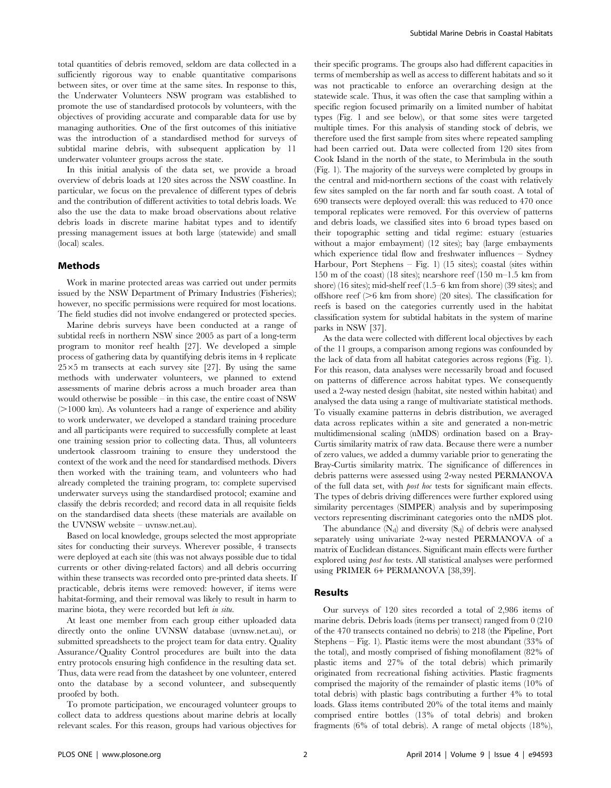total quantities of debris removed, seldom are data collected in a sufficiently rigorous way to enable quantitative comparisons between sites, or over time at the same sites. In response to this, the Underwater Volunteers NSW program was established to promote the use of standardised protocols by volunteers, with the objectives of providing accurate and comparable data for use by managing authorities. One of the first outcomes of this initiative was the introduction of a standardised method for surveys of subtidal marine debris, with subsequent application by 11 underwater volunteer groups across the state.

In this initial analysis of the data set, we provide a broad overview of debris loads at 120 sites across the NSW coastline. In particular, we focus on the prevalence of different types of debris and the contribution of different activities to total debris loads. We also the use the data to make broad observations about relative debris loads in discrete marine habitat types and to identify pressing management issues at both large (statewide) and small (local) scales.

### Methods

Work in marine protected areas was carried out under permits issued by the NSW Department of Primary Industries (Fisheries); however, no specific permissions were required for most locations. The field studies did not involve endangered or protected species.

Marine debris surveys have been conducted at a range of subtidal reefs in northern NSW since 2005 as part of a long-term program to monitor reef health [27]. We developed a simple process of gathering data by quantifying debris items in 4 replicate  $25\times5$  m transects at each survey site [27]. By using the same methods with underwater volunteers, we planned to extend assessments of marine debris across a much broader area than would otherwise be possible – in this case, the entire coast of NSW  $(>1000 \text{ km})$ . As volunteers had a range of experience and ability to work underwater, we developed a standard training procedure and all participants were required to successfully complete at least one training session prior to collecting data. Thus, all volunteers undertook classroom training to ensure they understood the context of the work and the need for standardised methods. Divers then worked with the training team, and volunteers who had already completed the training program, to: complete supervised underwater surveys using the standardised protocol; examine and classify the debris recorded; and record data in all requisite fields on the standardised data sheets (these materials are available on the UVNSW website – uvnsw.net.au).

Based on local knowledge, groups selected the most appropriate sites for conducting their surveys. Wherever possible, 4 transects were deployed at each site (this was not always possible due to tidal currents or other diving-related factors) and all debris occurring within these transects was recorded onto pre-printed data sheets. If practicable, debris items were removed: however, if items were habitat-forming, and their removal was likely to result in harm to marine biota, they were recorded but left in situ.

At least one member from each group either uploaded data directly onto the online UVNSW database (uvnsw.net.au), or submitted spreadsheets to the project team for data entry. Quality Assurance/Quality Control procedures are built into the data entry protocols ensuring high confidence in the resulting data set. Thus, data were read from the datasheet by one volunteer, entered onto the database by a second volunteer, and subsequently proofed by both.

To promote participation, we encouraged volunteer groups to collect data to address questions about marine debris at locally relevant scales. For this reason, groups had various objectives for

their specific programs. The groups also had different capacities in terms of membership as well as access to different habitats and so it was not practicable to enforce an overarching design at the statewide scale. Thus, it was often the case that sampling within a specific region focused primarily on a limited number of habitat types (Fig. 1 and see below), or that some sites were targeted multiple times. For this analysis of standing stock of debris, we therefore used the first sample from sites where repeated sampling had been carried out. Data were collected from 120 sites from Cook Island in the north of the state, to Merimbula in the south (Fig. 1). The majority of the surveys were completed by groups in the central and mid-northern sections of the coast with relatively few sites sampled on the far north and far south coast. A total of 690 transects were deployed overall: this was reduced to 470 once temporal replicates were removed. For this overview of patterns and debris loads, we classified sites into 6 broad types based on their topographic setting and tidal regime: estuary (estuaries without a major embayment) (12 sites); bay (large embayments which experience tidal flow and freshwater influences – Sydney Harbour, Port Stephens – Fig. 1) (15 sites); coastal (sites within 150 m of the coast) (18 sites); nearshore reef (150 m–1.5 km from shore) (16 sites); mid-shelf reef (1.5–6 km from shore) (39 sites); and offshore reef ( $>6$  km from shore) (20 sites). The classification for reefs is based on the categories currently used in the habitat classification system for subtidal habitats in the system of marine parks in NSW [37].

As the data were collected with different local objectives by each of the 11 groups, a comparison among regions was confounded by the lack of data from all habitat categories across regions (Fig. 1). For this reason, data analyses were necessarily broad and focused on patterns of difference across habitat types. We consequently used a 2-way nested design (habitat, site nested within habitat) and analysed the data using a range of multivariate statistical methods. To visually examine patterns in debris distribution, we averaged data across replicates within a site and generated a non-metric multidimensional scaling (nMDS) ordination based on a Bray-Curtis similarity matrix of raw data. Because there were a number of zero values, we added a dummy variable prior to generating the Bray-Curtis similarity matrix. The significance of differences in debris patterns were assessed using 2-way nested PERMANOVA of the full data set, with post hoc tests for significant main effects. The types of debris driving differences were further explored using similarity percentages (SIMPER) analysis and by superimposing vectors representing discriminant categories onto the nMDS plot.

The abundance  $(N_d)$  and diversity  $(S_d)$  of debris were analysed separately using univariate 2-way nested PERMANOVA of a matrix of Euclidean distances. Significant main effects were further explored using post hoc tests. All statistical analyses were performed using PRIMER 6+ PERMANOVA [38,39].

#### Results

Our surveys of 120 sites recorded a total of 2,986 items of marine debris. Debris loads (items per transect) ranged from 0 (210 of the 470 transects contained no debris) to 218 (the Pipeline, Port Stephens – Fig. 1). Plastic items were the most abundant (33% of the total), and mostly comprised of fishing monofilament (82% of plastic items and 27% of the total debris) which primarily originated from recreational fishing activities. Plastic fragments comprised the majority of the remainder of plastic items (10% of total debris) with plastic bags contributing a further 4% to total loads. Glass items contributed 20% of the total items and mainly comprised entire bottles (13% of total debris) and broken fragments (6% of total debris). A range of metal objects (18%),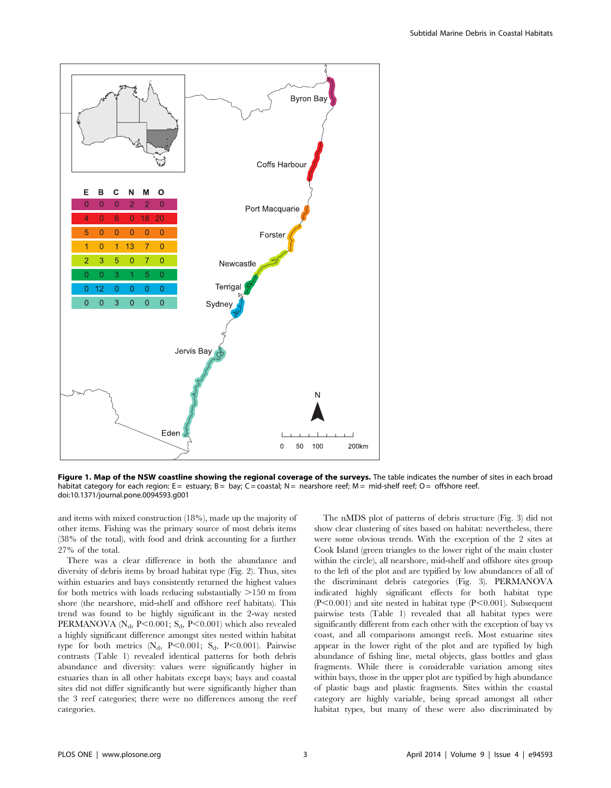

Figure 1. Map of the NSW coastline showing the regional coverage of the surveys. The table indicates the number of sites in each broad habitat category for each region:  $E =$  estuary;  $B =$  bay;  $C =$  coastal;  $N =$  nearshore reef;  $M =$  mid-shelf reef;  $O =$  offshore reef. doi:10.1371/journal.pone.0094593.g001

and items with mixed construction (18%), made up the majority of other items. Fishing was the primary source of most debris items (38% of the total), with food and drink accounting for a further 27% of the total.

There was a clear difference in both the abundance and diversity of debris items by broad habitat type (Fig. 2). Thus, sites within estuaries and bays consistently returned the highest values for both metrics with loads reducing substantially  $>150$  m from shore (the nearshore, mid-shelf and offshore reef habitats). This trend was found to be highly significant in the 2-way nested PERMANOVA ( $N_d$ , P<0.001; S<sub>d</sub>, P<0.001) which also revealed a highly significant difference amongst sites nested within habitat type for both metrics  $(N_d, P<0.001; S_d, P<0.001)$ . Pairwise contrasts (Table 1) revealed identical patterns for both debris abundance and diversity: values were significantly higher in estuaries than in all other habitats except bays; bays and coastal sites did not differ significantly but were significantly higher than the 3 reef categories; there were no differences among the reef categories.

The nMDS plot of patterns of debris structure (Fig. 3) did not show clear clustering of sites based on habitat: nevertheless, there were some obvious trends. With the exception of the 2 sites at Cook Island (green triangles to the lower right of the main cluster within the circle), all nearshore, mid-shelf and offshore sites group to the left of the plot and are typified by low abundances of all of the discriminant debris categories (Fig. 3). PERMANOVA indicated highly significant effects for both habitat type  $(P<0.001)$  and site nested in habitat type  $(P<0.001)$ . Subsequent pairwise tests (Table 1) revealed that all habitat types were significantly different from each other with the exception of bay vs coast, and all comparisons amongst reefs. Most estuarine sites appear in the lower right of the plot and are typified by high abundance of fishing line, metal objects, glass bottles and glass fragments. While there is considerable variation among sites within bays, those in the upper plot are typified by high abundance of plastic bags and plastic fragments. Sites within the coastal category are highly variable, being spread amongst all other habitat types, but many of these were also discriminated by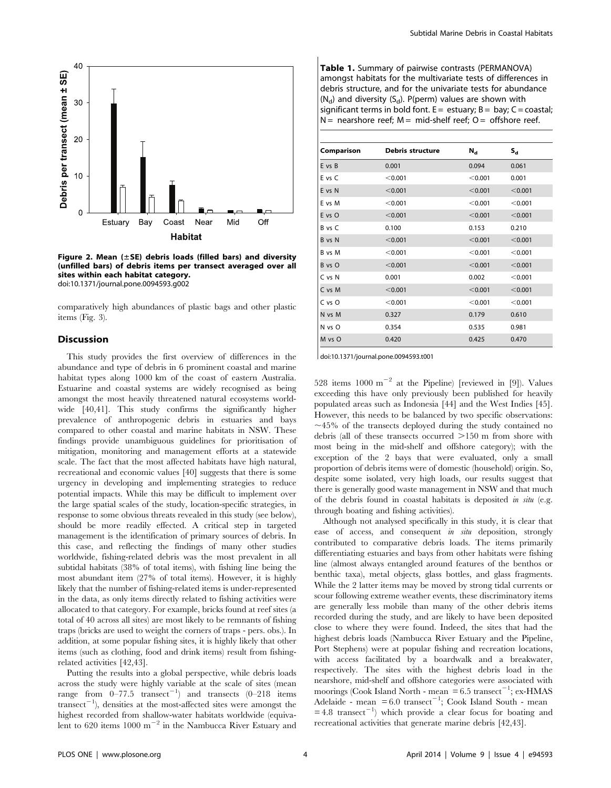

Figure 2. Mean  $(\pm$ SE) debris loads (filled bars) and diversity (unfilled bars) of debris items per transect averaged over all sites within each habitat category. doi:10.1371/journal.pone.0094593.g002

comparatively high abundances of plastic bags and other plastic items (Fig. 3).

#### **Discussion**

This study provides the first overview of differences in the abundance and type of debris in 6 prominent coastal and marine habitat types along 1000 km of the coast of eastern Australia. Estuarine and coastal systems are widely recognised as being amongst the most heavily threatened natural ecosystems worldwide [40,41]. This study confirms the significantly higher prevalence of anthropogenic debris in estuaries and bays compared to other coastal and marine habitats in NSW. These findings provide unambiguous guidelines for prioritisation of mitigation, monitoring and management efforts at a statewide scale. The fact that the most affected habitats have high natural, recreational and economic values [40] suggests that there is some urgency in developing and implementing strategies to reduce potential impacts. While this may be difficult to implement over the large spatial scales of the study, location-specific strategies, in response to some obvious threats revealed in this study (see below), should be more readily effected. A critical step in targeted management is the identification of primary sources of debris. In this case, and reflecting the findings of many other studies worldwide, fishing-related debris was the most prevalent in all subtidal habitats (38% of total items), with fishing line being the most abundant item (27% of total items). However, it is highly likely that the number of fishing-related items is under-represented in the data, as only items directly related to fishing activities were allocated to that category. For example, bricks found at reef sites (a total of 40 across all sites) are most likely to be remnants of fishing traps (bricks are used to weight the corners of traps - pers. obs.). In addition, at some popular fishing sites, it is highly likely that other items (such as clothing, food and drink items) result from fishingrelated activities [42,43].

Putting the results into a global perspective, while debris loads across the study were highly variable at the scale of sites (mean range from  $0-77.5$  transect<sup>-1</sup>) and transects  $(0-218)$  items transect<sup> $-1$ </sup>), densities at the most-affected sites were amongst the highest recorded from shallow-water habitats worldwide (equivalent to 620 items  $1000 \text{ m}^{-2}$  in the Nambucca River Estuary and

Table 1. Summary of pairwise contrasts (PERMANOVA) amongst habitats for the multivariate tests of differences in debris structure, and for the univariate tests for abundance  $(N_d)$  and diversity  $(S_d)$ . P(perm) values are shown with significant terms in bold font.  $E =$  estuary;  $B =$  bay;  $C =$  coastal; N = nearshore reef;  $M = mid-shell$  reef; O = offshore reef.

| Comparison | <b>Debris structure</b> | $N_{\rm d}$ | $S_d$   |
|------------|-------------------------|-------------|---------|
| E vs B     | 0.001                   | 0.094       | 0.061   |
| E vs C     | < 0.001                 | < 0.001     | 0.001   |
| E vs N     | < 0.001                 | < 0.001     | < 0.001 |
| E vs M     | < 0.001                 | < 0.001     | < 0.001 |
| E vs O     | < 0.001                 | < 0.001     | < 0.001 |
| B vs C     | 0.100                   | 0.153       | 0.210   |
| B vs N     | < 0.001                 | < 0.001     | < 0.001 |
| B vs M     | < 0.001                 | < 0.001     | < 0.001 |
| B vs O     | < 0.001                 | < 0.001     | < 0.001 |
| C vs N     | 0.001                   | 0.002       | < 0.001 |
| C vs M     | < 0.001                 | < 0.001     | < 0.001 |
| C vs O     | < 0.001                 | < 0.001     | < 0.001 |
| N vs M     | 0.327                   | 0.179       | 0.610   |
| N vs O     | 0.354                   | 0.535       | 0.981   |
| M vs O     | 0.420                   | 0.425       | 0.470   |

doi:10.1371/journal.pone.0094593.t001

528 items  $1000 \text{ m}^{-2}$  at the Pipeline) [reviewed in [9]). Values exceeding this have only previously been published for heavily populated areas such as Indonesia [44] and the West Indies [45]. However, this needs to be balanced by two specific observations:  $\sim$ 45% of the transects deployed during the study contained no debris (all of these transects occurred  $>150$  m from shore with most being in the mid-shelf and offshore category); with the exception of the 2 bays that were evaluated, only a small proportion of debris items were of domestic (household) origin. So, despite some isolated, very high loads, our results suggest that there is generally good waste management in NSW and that much of the debris found in coastal habitats is deposited in situ (e.g. through boating and fishing activities).

Although not analysed specifically in this study, it is clear that ease of access, and consequent in situ deposition, strongly contributed to comparative debris loads. The items primarily differentiating estuaries and bays from other habitats were fishing line (almost always entangled around features of the benthos or benthic taxa), metal objects, glass bottles, and glass fragments. While the 2 latter items may be moved by strong tidal currents or scour following extreme weather events, these discriminatory items are generally less mobile than many of the other debris items recorded during the study, and are likely to have been deposited close to where they were found. Indeed, the sites that had the highest debris loads (Nambucca River Estuary and the Pipeline, Port Stephens) were at popular fishing and recreation locations, with access facilitated by a boardwalk and a breakwater, respectively. The sites with the highest debris load in the nearshore, mid-shelf and offshore categories were associated with moorings (Cook Island North - mean  $= 6.5$  transect<sup>-1</sup>; ex-HMAS Adelaide - mean  $= 6.0$  transect<sup>-1</sup>; Cook Island South - mean  $= 4.8$  transect<sup>-1</sup>) which provide a clear focus for boating and recreational activities that generate marine debris [42,43].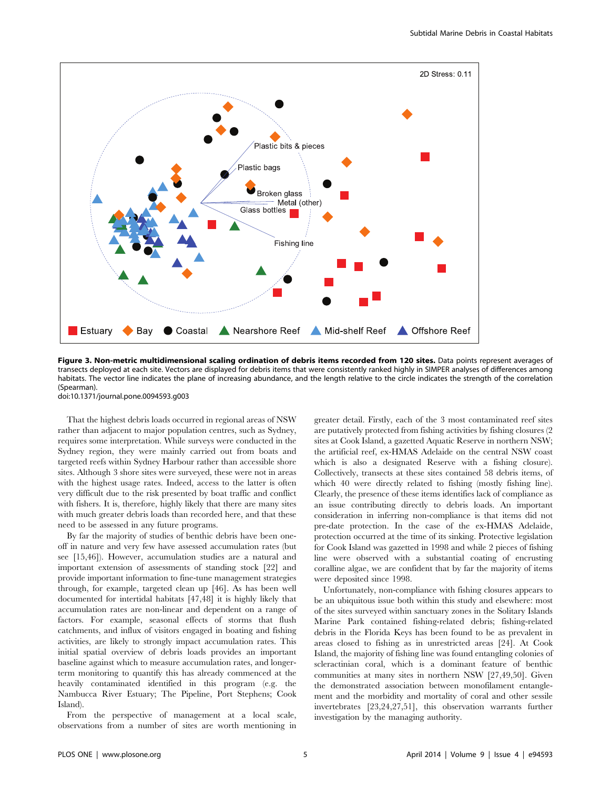

Figure 3. Non-metric multidimensional scaling ordination of debris items recorded from 120 sites. Data points represent averages of transects deployed at each site. Vectors are displayed for debris items that were consistently ranked highly in SIMPER analyses of differences among habitats. The vector line indicates the plane of increasing abundance, and the length relative to the circle indicates the strength of the correlation (Spearman).

doi:10.1371/journal.pone.0094593.g003

That the highest debris loads occurred in regional areas of NSW rather than adjacent to major population centres, such as Sydney, requires some interpretation. While surveys were conducted in the Sydney region, they were mainly carried out from boats and targeted reefs within Sydney Harbour rather than accessible shore sites. Although 3 shore sites were surveyed, these were not in areas with the highest usage rates. Indeed, access to the latter is often very difficult due to the risk presented by boat traffic and conflict with fishers. It is, therefore, highly likely that there are many sites with much greater debris loads than recorded here, and that these need to be assessed in any future programs.

By far the majority of studies of benthic debris have been oneoff in nature and very few have assessed accumulation rates (but see [15,46]). However, accumulation studies are a natural and important extension of assessments of standing stock [22] and provide important information to fine-tune management strategies through, for example, targeted clean up [46]. As has been well documented for intertidal habitats [47,48] it is highly likely that accumulation rates are non-linear and dependent on a range of factors. For example, seasonal effects of storms that flush catchments, and influx of visitors engaged in boating and fishing activities, are likely to strongly impact accumulation rates. This initial spatial overview of debris loads provides an important baseline against which to measure accumulation rates, and longerterm monitoring to quantify this has already commenced at the heavily contaminated identified in this program (e.g. the Nambucca River Estuary; The Pipeline, Port Stephens; Cook Island).

From the perspective of management at a local scale, observations from a number of sites are worth mentioning in greater detail. Firstly, each of the 3 most contaminated reef sites are putatively protected from fishing activities by fishing closures (2 sites at Cook Island, a gazetted Aquatic Reserve in northern NSW; the artificial reef, ex-HMAS Adelaide on the central NSW coast which is also a designated Reserve with a fishing closure). Collectively, transects at these sites contained 58 debris items, of which 40 were directly related to fishing (mostly fishing line). Clearly, the presence of these items identifies lack of compliance as an issue contributing directly to debris loads. An important consideration in inferring non-compliance is that items did not pre-date protection. In the case of the ex-HMAS Adelaide, protection occurred at the time of its sinking. Protective legislation for Cook Island was gazetted in 1998 and while 2 pieces of fishing line were observed with a substantial coating of encrusting coralline algae, we are confident that by far the majority of items were deposited since 1998.

Unfortunately, non-compliance with fishing closures appears to be an ubiquitous issue both within this study and elsewhere: most of the sites surveyed within sanctuary zones in the Solitary Islands Marine Park contained fishing-related debris; fishing-related debris in the Florida Keys has been found to be as prevalent in areas closed to fishing as in unrestricted areas [24]. At Cook Island, the majority of fishing line was found entangling colonies of scleractinian coral, which is a dominant feature of benthic communities at many sites in northern NSW [27,49,50]. Given the demonstrated association between monofilament entanglement and the morbidity and mortality of coral and other sessile invertebrates [23,24,27,51], this observation warrants further investigation by the managing authority.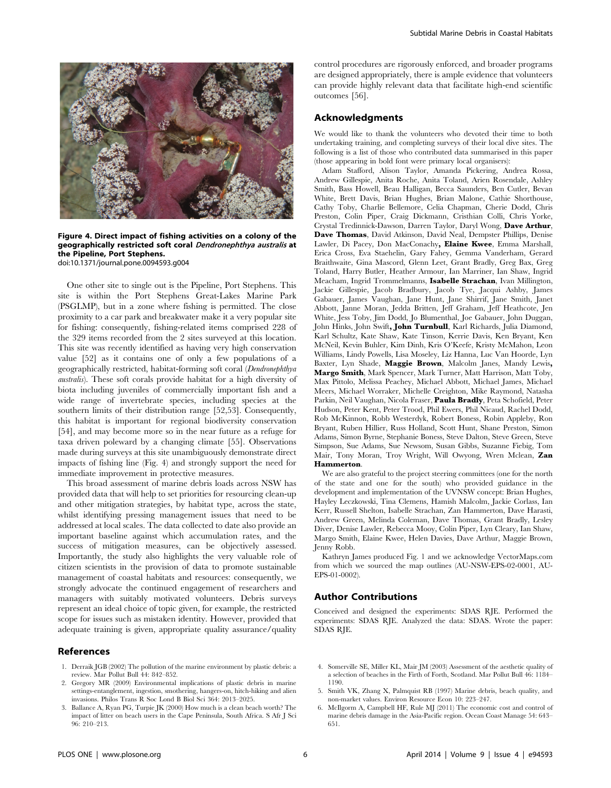



Figure 4. Direct impact of fishing activities on a colony of the geographically restricted soft coral Dendronephthya australis at the Pipeline, Port Stephens. doi:10.1371/journal.pone.0094593.g004

One other site to single out is the Pipeline, Port Stephens. This site is within the Port Stephens Great-Lakes Marine Park (PSGLMP), but in a zone where fishing is permitted. The close proximity to a car park and breakwater make it a very popular site for fishing: consequently, fishing-related items comprised 228 of the 329 items recorded from the 2 sites surveyed at this location. This site was recently identified as having very high conservation value [52] as it contains one of only a few populations of a geographically restricted, habitat-forming soft coral (Dendronephthya australis). These soft corals provide habitat for a high diversity of biota including juveniles of commercially important fish and a wide range of invertebrate species, including species at the southern limits of their distribution range [52,53]. Consequently, this habitat is important for regional biodiversity conservation [54], and may become more so in the near future as a refuge for taxa driven poleward by a changing climate [55]. Observations made during surveys at this site unambiguously demonstrate direct impacts of fishing line (Fig. 4) and strongly support the need for immediate improvement in protective measures.

This broad assessment of marine debris loads across NSW has provided data that will help to set priorities for resourcing clean-up and other mitigation strategies, by habitat type, across the state, whilst identifying pressing management issues that need to be addressed at local scales. The data collected to date also provide an important baseline against which accumulation rates, and the success of mitigation measures, can be objectively assessed. Importantly, the study also highlights the very valuable role of citizen scientists in the provision of data to promote sustainable management of coastal habitats and resources: consequently, we strongly advocate the continued engagement of researchers and managers with suitably motivated volunteers. Debris surveys represent an ideal choice of topic given, for example, the restricted scope for issues such as mistaken identity. However, provided that adequate training is given, appropriate quality assurance/quality

# References

- 1. Derraik JGB (2002) The pollution of the marine environment by plastic debris: a review. Mar Pollut Bull 44: 842–852.
- 2. Gregory MR (2009) Environmental implications of plastic debris in marine settings-entanglement, ingestion, smothering, hangers-on, hitch-hiking and alien invasions. Philos Trans R Soc Lond B Biol Sci 364: 2013–2025.
- 3. Ballance A, Ryan PG, Turpie JK (2000) How much is a clean beach worth? The impact of litter on beach users in the Cape Peninsula, South Africa. S Afr J Sci 96: 210–213.

control procedures are rigorously enforced, and broader programs are designed appropriately, there is ample evidence that volunteers can provide highly relevant data that facilitate high-end scientific outcomes [56].

## Acknowledgments

We would like to thank the volunteers who devoted their time to both undertaking training, and completing surveys of their local dive sites. The following is a list of those who contributed data summarised in this paper (those appearing in bold font were primary local organisers):

Adam Stafford, Alison Taylor, Amanda Pickering, Andrea Rossa, Andrew Gillespie, Anita Roche, Anita Toland, Arien Rosendale, Ashley Smith, Bass Howell, Beau Halligan, Becca Saunders, Ben Cutler, Bevan White, Brett Davis, Brian Hughes, Brian Malone, Cathie Shorthouse, Cathy Toby, Charlie Bellemore, Celia Chapman, Cherie Dodd, Chris Preston, Colin Piper, Craig Dickmann, Cristhian Colli, Chris Yorke, Crystal Tredinnick-Dawson, Darren Taylor, Daryl Wong, Dave Arthur, Dave Thomas, David Atkinson, David Neal, Dempster Phillips, Denise Lawler, Di Pacey, Don MacConachy, Elaine Kwee, Emma Marshall, Erica Cross, Eva Staehelin, Gary Fahey, Gemma Vanderham, Gerard Braithwaite, Gina Mascord, Glenn Leet, Grant Bradly, Greg Bax, Greg Toland, Harry Butler, Heather Armour, Ian Marriner, Ian Shaw, Ingrid Meacham, Ingrid Trommelmanns, Isabelle Strachan, Ivan Millington, Jackie Gillespie, Jacob Bradbury, Jacob Tye, Jacqui Ashby, James Gabauer, James Vaughan, Jane Hunt, Jane Shirrif, Jane Smith, Janet Abbott, Janne Moran, Jedda Britten, Jeff Graham, Jeff Heathcote, Jen White, Jess Toby, Jim Dodd, Jo Blumenthal, Joe Gabauer, John Duggan, John Hinks, John Swift, John Turnbull, Karl Richards, Julia Diamond, Karl Schultz, Kate Shaw, Kate Tinson, Kerrie Davis, Ken Bryant, Ken McNeil, Kevin Buhler, Kim Dinh, Kris O'Keefe, Kristy McMahon, Leon Williams, Lindy Powells, Lisa Moseley, Liz Hanna, Luc Van Hoorde, Lyn Baxter, Lyn Shade, Maggie Brown, Malcolm Janes, Mandy Lewis, Margo Smith, Mark Spencer, Mark Turner, Matt Harrison, Matt Toby, Max Pittolo, Melissa Peachey, Michael Abbott, Michael James, Michael Meers, Michael Worraker, Michelle Creighton, Mike Raymond, Natasha Parkin, Neil Vaughan, Nicola Fraser, Paula Bradly, Peta Schofield, Peter Hudson, Peter Kent, Peter Trood, Phil Ewers, Phil Nicaud, Rachel Dodd, Rob McKinnon, Robb Westerdyk, Robert Boness, Robin Appleby, Ron Bryant, Ruben Hillier, Russ Holland, Scott Hunt, Shane Preston, Simon Adams, Simon Byrne, Stephanie Boness, Steve Dalton, Steve Green, Steve Simpson, Sue Adams, Sue Newsom, Susan Gibbs, Suzanne Fiebig, Tom Mair, Tony Moran, Troy Wright, Will Owyong, Wren Mclean, Zan Hammerton.

We are also grateful to the project steering committees (one for the north of the state and one for the south) who provided guidance in the development and implementation of the UVNSW concept: Brian Hughes, Hayley Leczkowski, Tina Clemens, Hamish Malcolm, Jackie Corlass, Ian Kerr, Russell Shelton, Isabelle Strachan, Zan Hammerton, Dave Harasti, Andrew Green, Melinda Coleman, Dave Thomas, Grant Bradly, Lesley Diver, Denise Lawler, Rebecca Mooy, Colin Piper, Lyn Cleary, Ian Shaw, Margo Smith, Elaine Kwee, Helen Davies, Dave Arthur, Maggie Brown, Jenny Robb.

Kathryn James produced Fig. 1 and we acknowledge VectorMaps.com from which we sourced the map outlines (AU-NSW-EPS-02-0001, AU-EPS-01-0002).

## Author Contributions

Conceived and designed the experiments: SDAS RJE. Performed the experiments: SDAS RJE. Analyzed the data: SDAS. Wrote the paper: SDAS RJE.

- 4. Somerville SE, Miller KL, Mair JM (2003) Assessment of the aesthetic quality of a selection of beaches in the Firth of Forth, Scotland. Mar Pollut Bull 46: 1184– 1190.
- 5. Smith VK, Zhang X, Palmquist RB (1997) Marine debris, beach quality, and non-market values. Environ Resource Econ 10: 223–247.
- 6. McIlgorm A, Campbell HF, Rule MJ (2011) The economic cost and control of marine debris damage in the Asia-Pacific region. Ocean Coast Manage 54: 643– 651.